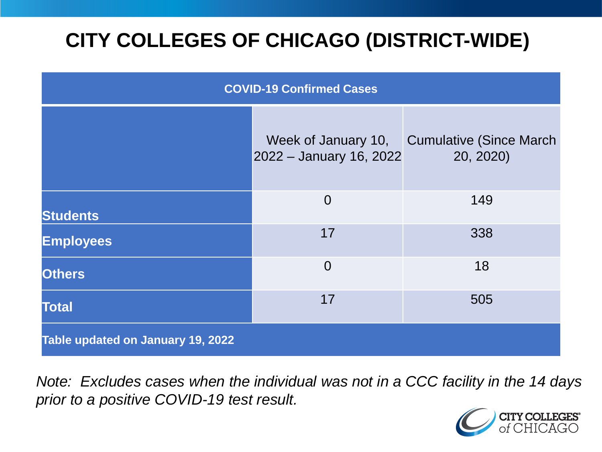# **CITY COLLEGES OF CHICAGO (DISTRICT-WIDE)**

| <b>COVID-19 Confirmed Cases</b>   |                                                |                                              |
|-----------------------------------|------------------------------------------------|----------------------------------------------|
|                                   | Week of January 10,<br>2022 - January 16, 2022 | <b>Cumulative (Since March)</b><br>20, 2020) |
| <b>Students</b>                   | $\overline{0}$                                 | 149                                          |
| <b>Employees</b>                  | 17                                             | 338                                          |
| <b>Others</b>                     | $\Omega$                                       | 18                                           |
| <b>Total</b>                      | 17                                             | 505                                          |
| Table updated on January 19, 2022 |                                                |                                              |

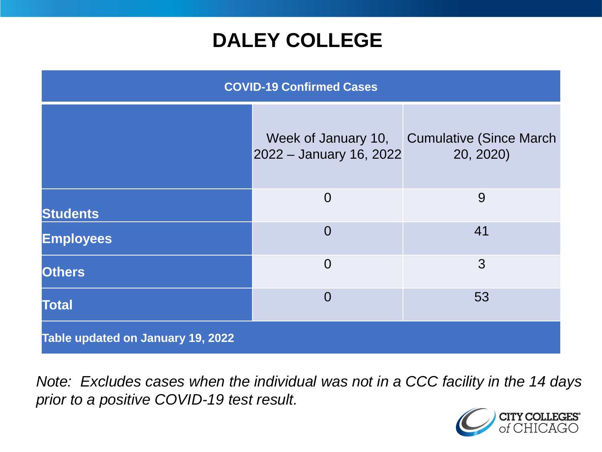## **DALEY COLLEGE**

| <b>COVID-19 Confirmed Cases</b>   |                                                |                                              |
|-----------------------------------|------------------------------------------------|----------------------------------------------|
|                                   | Week of January 10,<br>2022 - January 16, 2022 | <b>Cumulative (Since March)</b><br>20, 2020) |
| <b>Students</b>                   | $\overline{0}$                                 | 9                                            |
| <b>Employees</b>                  | $\overline{0}$                                 | 41                                           |
| <b>Others</b>                     | $\overline{0}$                                 | 3                                            |
| <b>Total</b>                      | $\Omega$                                       | 53                                           |
| Table updated on January 19, 2022 |                                                |                                              |

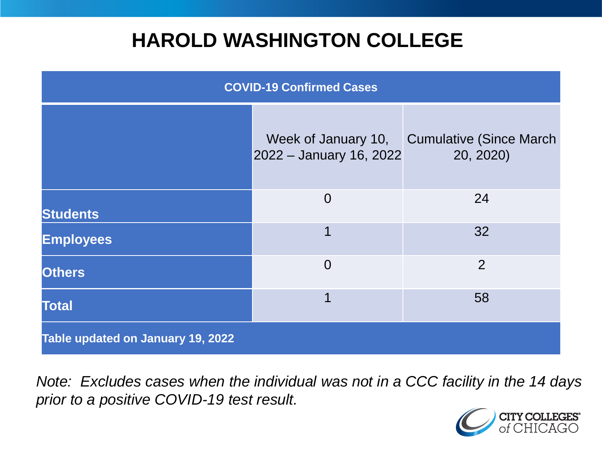## **HAROLD WASHINGTON COLLEGE**

| <b>COVID-19 Confirmed Cases</b>   |                                                |                                              |
|-----------------------------------|------------------------------------------------|----------------------------------------------|
|                                   | Week of January 10,<br>2022 - January 16, 2022 | <b>Cumulative (Since March)</b><br>20, 2020) |
| <b>Students</b>                   | $\overline{0}$                                 | 24                                           |
| <b>Employees</b>                  | 1                                              | 32                                           |
| <b>Others</b>                     | $\Omega$                                       | $\overline{2}$                               |
| <b>Total</b>                      | 1                                              | 58                                           |
| Table updated on January 19, 2022 |                                                |                                              |

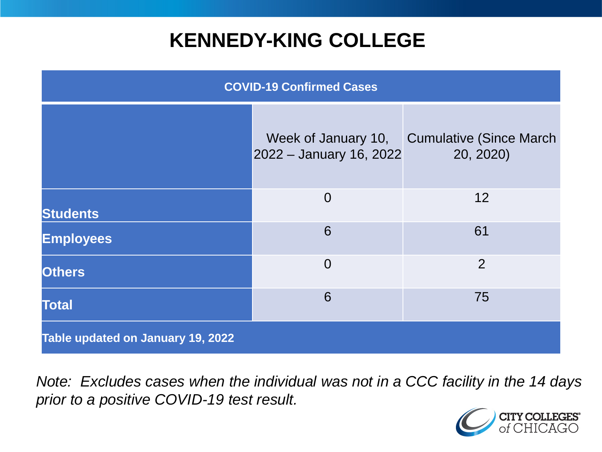## **KENNEDY-KING COLLEGE**

| <b>COVID-19 Confirmed Cases</b>   |                                                |                                              |
|-----------------------------------|------------------------------------------------|----------------------------------------------|
|                                   | Week of January 10,<br>2022 - January 16, 2022 | <b>Cumulative (Since March)</b><br>20, 2020) |
| <b>Students</b>                   | $\overline{0}$                                 | 12                                           |
| <b>Employees</b>                  | 6                                              | 61                                           |
| <b>Others</b>                     | $\overline{0}$                                 | 2                                            |
| <b>Total</b>                      | 6                                              | 75                                           |
| Table updated on January 19, 2022 |                                                |                                              |

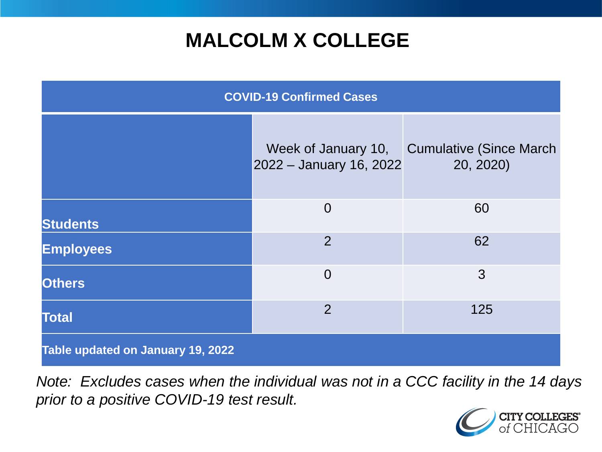# **MALCOLM X COLLEGE**

| <b>COVID-19 Confirmed Cases</b>   |                                                |                                              |
|-----------------------------------|------------------------------------------------|----------------------------------------------|
|                                   | Week of January 10,<br>2022 - January 16, 2022 | <b>Cumulative (Since March)</b><br>20, 2020) |
| <b>Students</b>                   | $\overline{0}$                                 | 60                                           |
| <b>Employees</b>                  | $\overline{2}$                                 | 62                                           |
| <b>Others</b>                     | $\overline{0}$                                 | 3                                            |
| <b>Total</b>                      | $\overline{2}$                                 | 125                                          |
| Table updated on January 19, 2022 |                                                |                                              |

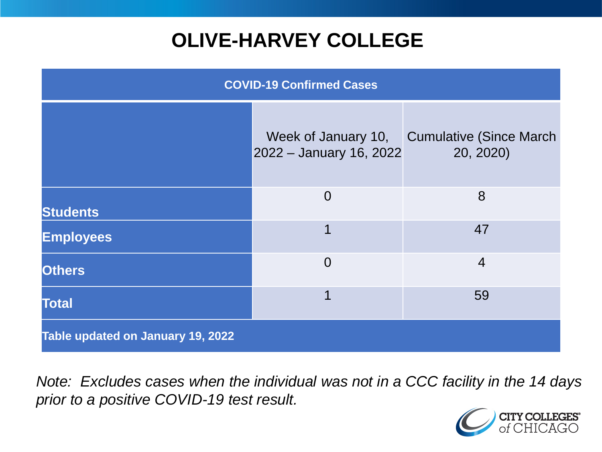# **OLIVE-HARVEY COLLEGE**

| <b>COVID-19 Confirmed Cases</b>   |                                                |                                              |
|-----------------------------------|------------------------------------------------|----------------------------------------------|
|                                   | Week of January 10,<br>2022 - January 16, 2022 | <b>Cumulative (Since March)</b><br>20, 2020) |
| <b>Students</b>                   | $\overline{0}$                                 | 8                                            |
| <b>Employees</b>                  | 1                                              | 47                                           |
| <b>Others</b>                     | $\overline{0}$                                 | $\overline{4}$                               |
| <b>Total</b>                      | 1                                              | 59                                           |
| Table updated on January 19, 2022 |                                                |                                              |

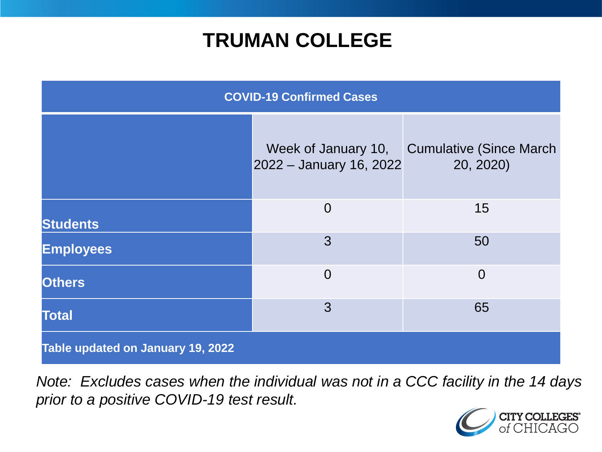## **TRUMAN COLLEGE**

| <b>COVID-19 Confirmed Cases</b>   |                                                |                                             |
|-----------------------------------|------------------------------------------------|---------------------------------------------|
|                                   | Week of January 10,<br>2022 - January 16, 2022 | <b>Cumulative (Since March</b><br>20, 2020) |
| <b>Students</b>                   | $\overline{0}$                                 | 15                                          |
| <b>Employees</b>                  | 3                                              | 50                                          |
| <b>Others</b>                     | $\overline{0}$                                 | $\overline{0}$                              |
| <b>Total</b>                      | 3                                              | 65                                          |
| Table updated on January 19, 2022 |                                                |                                             |

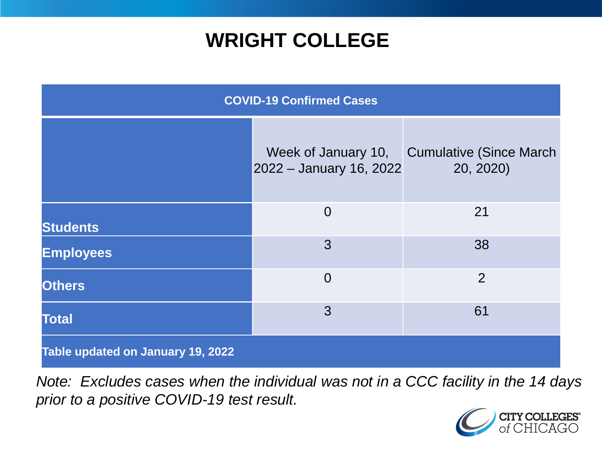## **WRIGHT COLLEGE**

| <b>COVID-19 Confirmed Cases</b>   |                                                |                                              |
|-----------------------------------|------------------------------------------------|----------------------------------------------|
|                                   | Week of January 10,<br>2022 - January 16, 2022 | <b>Cumulative (Since March)</b><br>20, 2020) |
| <b>Students</b>                   | $\overline{0}$                                 | 21                                           |
| <b>Employees</b>                  | 3                                              | 38                                           |
| <b>Others</b>                     | $\overline{0}$                                 | $\overline{2}$                               |
| <b>Total</b>                      | 3                                              | 61                                           |
| Table updated on January 19, 2022 |                                                |                                              |

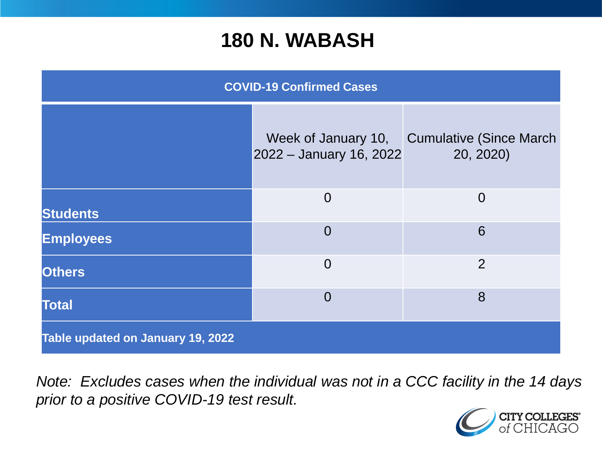#### **180 N. WABASH**

| <b>COVID-19 Confirmed Cases</b>   |                                                |                                              |
|-----------------------------------|------------------------------------------------|----------------------------------------------|
|                                   | Week of January 10,<br>2022 - January 16, 2022 | <b>Cumulative (Since March)</b><br>20, 2020) |
| <b>Students</b>                   | $\Omega$                                       | $\Omega$                                     |
| <b>Employees</b>                  | $\Omega$                                       | 6                                            |
| <b>Others</b>                     | $\overline{0}$                                 | $\overline{2}$                               |
| <b>Total</b>                      | $\overline{0}$                                 | 8                                            |
| Table updated on January 19, 2022 |                                                |                                              |